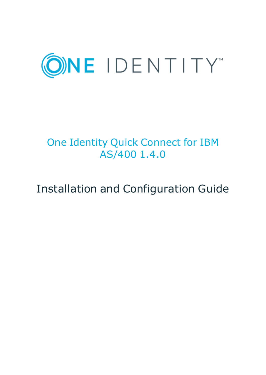

# One Identity Quick Connect for IBM AS/400 1.4.0

# Installation and Configuration Guide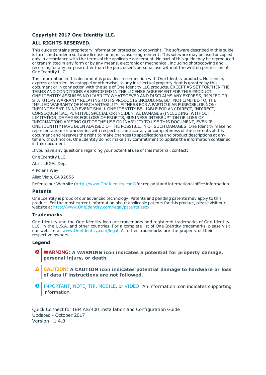#### **Copyright 2017 One Identity LLC.**

#### **ALL RIGHTS RESERVED.**

This guide contains proprietary information protected by copyright. The software described in this guide is furnished under a software license or nondisclosure agreement. This software may be used or copied only in accordance with the terms of the applicable agreement. No part of this guide may be reproduced or transmitted in any form or by any means, electronic or mechanical, including photocopying and recording for any purpose other than the purchaser's personal use without the written permission of One Identity LLC .

The information in this document is provided in connection with One Identity products. No license, express or implied, by estoppel or otherwise, to any intellectual property right is granted by this document or in connection with the sale of One Identity LLC products. EXCEPT AS SET FORTH IN THE TERMS AND CONDITIONS AS SPECIFIED IN THE LICENSE AGREEMENT FOR THIS PRODUCT, ONE IDENTITY ASSUMES NO LIABILITY WHATSOEVER AND DISCLAIMS ANY EXPRESS, IMPLIED OR STATUTORY WARRANTY RELATING TO ITS PRODUCTS INCLUDING, BUT NOT LIMITED TO, THE IMPLIED WARRANTY OF MERCHANTABILITY, FITNESS FOR A PARTICULAR PURPOSE, OR NON-INFRINGEMENT. IN NO EVENT SHALL ONE IDENTITY BE LIABLE FOR ANY DIRECT, INDIRECT, CONSEQUENTIAL, PUNITIVE, SPECIAL OR INCIDENTAL DAMAGES (INCLUDING, WITHOUT LIMITATION, DAMAGES FOR LOSS OF PROFITS, BUSINESS INTERRUPTION OR LOSS OF INFORMATION) ARISING OUT OF THE USE OR INABILITY TO USE THIS DOCUMENT, EVEN IF ONE IDENTITY HAVE BEEN ADVISED OF THE POSSIBILITY OF SUCH DAMAGES. One Identity make no representations or warranties with respect to the accuracy or completeness of the contents of this document and reserves the right to make changes to specifications and product descriptions at any time without notice. One Identity do not make any commitment to update the information contained in this document.

If you have any questions regarding your potential use of this material, contact:

One Identity LLC.

Attn: LEGAL Dept

4 Polaris Way

Aliso Viejo, CA 92656

Refer to our Web site ([http://www.OneIdentity.com](http://www.oneidentity.com/)) for regional and international office information.

#### **Patents**

One Identity is proud of our advanced technology. Patents and pending patents may apply to this product. For the most current information about applicable patents for this product, please visit our website at [http://www.OneIdentity.com/legal/patents.aspx](http://www.oneidentity.com/legal/patents.aspx).

#### **Trademarks**

One Identity and the One Identity logo are trademarks and registered trademarks of One Identity LLC. in the U.S.A. and other countries. For a complete list of One Identity trademarks, please visit our website at [www.OneIdentity.com/legal](http://www.oneidentity.com/legal). All other trademarks are the property of their respective owners.

#### **Legend**

- **WARNING: A WARNING icon indicates a potential for property damage, personal injury, or death.**
- **CAUTION: A CAUTION icon indicates potential damage to hardware or loss of data if instructions are not followed.**
- Œ IMPORTANT, NOTE, TIP, MOBILE, or VIDEO: An information icon indicates supporting information.

Quick Connect for IBM AS/400 Installation and Configuration Guide Updated - October 2017 Version - 1.4.0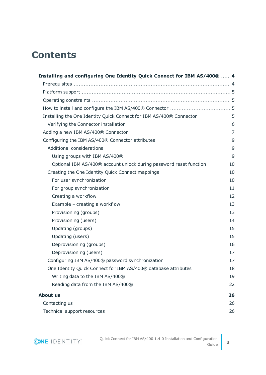## **Contents**

| Installing and configuring One Identity Quick Connect for IBM AS/400®  4 |  |
|--------------------------------------------------------------------------|--|
|                                                                          |  |
|                                                                          |  |
|                                                                          |  |
|                                                                          |  |
| Installing the One Identity Quick Connect for IBM AS/400® Connector  5   |  |
|                                                                          |  |
|                                                                          |  |
|                                                                          |  |
|                                                                          |  |
|                                                                          |  |
| Optional IBM AS/400® account unlock during password reset function 10    |  |
|                                                                          |  |
|                                                                          |  |
|                                                                          |  |
|                                                                          |  |
|                                                                          |  |
|                                                                          |  |
|                                                                          |  |
|                                                                          |  |
|                                                                          |  |
|                                                                          |  |
|                                                                          |  |
|                                                                          |  |
| One Identity Quick Connect for IBM AS/400® database attributes  18       |  |
|                                                                          |  |
|                                                                          |  |
|                                                                          |  |
|                                                                          |  |
|                                                                          |  |

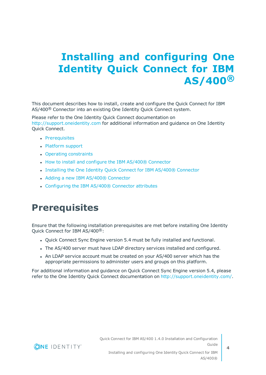# <span id="page-3-0"></span>**Installing and configuring One Identity Quick Connect for IBM AS/400®**

This document describes how to install, create and configure the Quick Connect for IBM AS/400<sup>®</sup> Connector into an existing One Identity Quick Connect system.

Please refer to the One Identity Quick Connect documentation on [http://support.oneidentity.com](http://support.oneidentity.com/) for additional information and guidance on One Identity Quick Connect.

- [Prerequisites](#page-3-1)
- [Platform](#page-4-0) support
- Operating [constraints](#page-4-1)
- How to install and configure the IBM AS/400® [Connector](#page-4-2)
- Installing the One Identity Quick Connect for IBM AS/400® [Connector](#page-4-3)
- Adding a new IBM AS/400® [Connector](#page-6-0)
- [Configuring](#page-8-0) the IBM AS/400® Connector attributes

## <span id="page-3-1"></span>**Prerequisites**

Ensure that the following installation prerequisites are met before installing One Identity Quick Connect for IBM AS/400®:

- Quick Connect Sync Engine version 5.4 must be fully installed and functional.
- The AS/400 server must have LDAP directory services installed and configured.
- An LDAP service account must be created on your AS/400 server which has the appropriate permissions to administer users and groups on this platform.

For additional information and guidance on Quick Connect Sync Engine version 5.4, please refer to the One Identity Quick Connect documentation on <http://support.oneidentity.com/>.

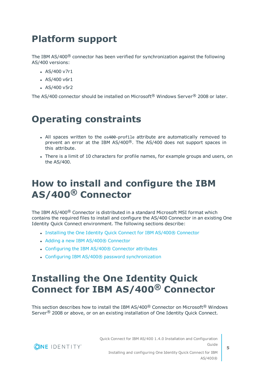## <span id="page-4-0"></span>**Platform support**

The IBM AS/400® connector has been verified for synchronization against the following AS/400 versions:

- $-$  AS/400 v7r1
- $AS/400 v6r1$
- $-$  AS/400 v5r2

<span id="page-4-1"></span>The AS/400 connector should be installed on Microsoft® Windows Server® 2008 or later.

## **Operating constraints**

- All spaces written to the os400-profile attribute are automatically removed to prevent an error at the IBM AS/400®. The AS/400 does not support spaces in this attribute.
- There is a limit of 10 characters for profile names, for example groups and users, on the AS/400.

## <span id="page-4-2"></span>**How to install and configure the IBM AS/400® Connector**

The IBM AS/400® Connector is distributed in a standard Microsoft MSI format which contains the required files to install and configure the AS/400 Connector in an existing One Identity Quick Connect environment. The following sections describe:

- Installing the One Identity Quick Connect for IBM AS/400® [Connector](#page-4-3)
- Adding a new IBM AS/400® [Connector](#page-6-0)
- [Configuring](#page-8-0) the IBM AS/400® Connector attributes
- Configuring IBM AS/400® password [synchronization](#page-16-1)

## <span id="page-4-3"></span>**Installing the One Identity Quick Connect for IBM AS/400® Connector**

This section describes how to install the IBM AS/400® Connector on Microsoft® Windows Server<sup>®</sup> 2008 or above, or on an existing installation of One Identity Quick Connect.

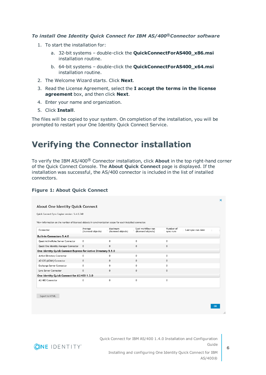#### *To install One Identity Quick Connect for IBM AS/400®Connector software*

- 1. To start the installation for:
	- a. 32-bit systems double-click the **QuickConnectForAS400\_x86.msi** installation routine.
	- b. 64-bit systems double-click the **QuickConnectForAS400\_x64.msi** installation routine.
- 2. The Welcome Wizard starts. Click **Next**.
- 3. Read the License Agreement, select the **I accept the terms in the license agreement** box, and then click **Next**.
- 4. Enter your name and organization.
- 5. Click **Install**.

The files will be copied to your system. On completion of the installation, you will be prompted to restart your One Identity Quick Connect Service.

### <span id="page-5-0"></span>**Verifying the Connector installation**

To verify the IBM AS/400® Connector installation, click **About** in the top right-hand corner of the Quick Connect Console. The **About Quick Connect** page is displayed. If the installation was successful, the AS/400 connector is included in the list of installed connectors.

### **Figure 1: About Quick Connect**

| Quick Connect Sync Engine version: 5.4.0.740                                                              |                               |                               |                                         |                                              |  |
|-----------------------------------------------------------------------------------------------------------|-------------------------------|-------------------------------|-----------------------------------------|----------------------------------------------|--|
| View information on the number of licensed objects in synchronization scope for each installed connector. |                               |                               |                                         |                                              |  |
| Connector                                                                                                 | Average<br>(licensed objects) | Maximum<br>(licensed objects) | Last workflow run<br>(licensed objects) | Number of<br>Last sync run date<br>sync runs |  |
| Built-in Connectors 5.4.0                                                                                 |                               |                               |                                         |                                              |  |
| Quest ActiveRoles Server Connector                                                                        | $\mathbf{0}$                  | $\Omega$                      | $\Omega$                                | $\mathbf{0}$                                 |  |
| Quest One Identity Manager Connector                                                                      | $\mathbf{0}$                  | $\mathbf{0}$                  | $\mathbf{0}$                            | $\mathbf{0}$                                 |  |
| One Identity Quick Connect Express for Active Directory 5.5.0                                             |                               |                               |                                         |                                              |  |
| Active Directory Connector                                                                                | $^{\circ}$                    | $^{\circ}$                    | $\mathbf 0$                             | $^{\circ}$                                   |  |
| AD LDS (ADAM) Connector                                                                                   | $\mathbf{0}$                  | $\Omega$                      | $\Omega$                                | $\Omega$                                     |  |
| Exchange Server Connector                                                                                 | $\mathbf{0}$                  | $\mathbf 0$                   | $\mathbf 0$                             | $^{\circ}$                                   |  |
| Lync Server Connector                                                                                     | $\mathbf{0}$                  | $\mathbf 0$                   | $\mathbf{0}$                            | $\mathbf{0}$                                 |  |
| One Identity Quick Connect for AS/400 1.3.0                                                               |                               |                               |                                         |                                              |  |
| AS/400 Connector                                                                                          | 0                             | $\Omega$                      | 0                                       | 0                                            |  |



OK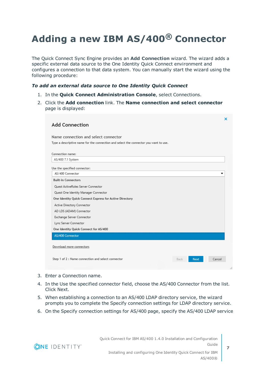## <span id="page-6-0"></span>**Adding a new IBM AS/400® Connector**

The Quick Connect Sync Engine provides an **Add Connection** wizard. The wizard adds a specific external data source to the One Identity Quick Connect environment and configures a connection to that data system. You can manually start the wizard using the following procedure:

#### *To add an external data source to One Identity Quick Connect*

- 1. In the **Quick Connect Administration Console**, select Connections.
- 2. Click the **Add connection** link. The **Name connection and select connector** page is displayed:

| <b>Add Connection</b>                                   |                                                                                      |                     | ×      |
|---------------------------------------------------------|--------------------------------------------------------------------------------------|---------------------|--------|
|                                                         |                                                                                      |                     |        |
| Name connection and select connector                    |                                                                                      |                     |        |
|                                                         | Type a descriptive name for the connection and select the connector you want to use. |                     |        |
| Connection name:                                        |                                                                                      |                     |        |
| AS/400 7.1 System                                       |                                                                                      |                     |        |
|                                                         |                                                                                      |                     |        |
| Use the specified connector:<br>AS/400 Connector        |                                                                                      |                     | ▼      |
| <b>Built-in Connectors</b>                              |                                                                                      |                     |        |
| Quest ActiveRoles Server Connector                      |                                                                                      |                     |        |
| Quest One Identity Manager Connector                    |                                                                                      |                     |        |
| One Identity Quick Connect Express for Active Directory |                                                                                      |                     |        |
| Active Directory Connector                              |                                                                                      |                     |        |
| AD LDS (ADAM) Connector                                 |                                                                                      |                     |        |
| Exchange Server Connector                               |                                                                                      |                     |        |
| Lync Server Connector                                   |                                                                                      |                     |        |
| One Identity Quick Connect for AS/400                   |                                                                                      |                     |        |
| AS/400 Connector                                        |                                                                                      |                     |        |
|                                                         |                                                                                      |                     |        |
| Download more connectors                                |                                                                                      |                     |        |
| Step 1 of 2 : Name connection and select connector      |                                                                                      | Back<br><b>Next</b> | Cancel |
|                                                         |                                                                                      |                     |        |

- 3. Enter a Connection name.
- 4. In the Use the specified connector field, choose the AS/400 Connector from the list. Click Next.
- 5. When establishing a connection to an AS/400 LDAP directory service, the wizard prompts you to complete the Specify connection settings for LDAP directory service.
- 6. On the Specify connection settings for AS/400 page, specify the AS/400 LDAP service

**ONE IDENTITY** 

Quick Connect for IBM AS/400 1.4.0 Installation and Configuration Guide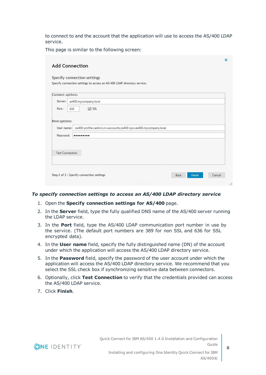to connect to and the account that the application will use to access the AS/400 LDAP service.

This page is similar to the following screen:

| <b>Add Connection</b>                    |     |                                                                         |      |        | x      |
|------------------------------------------|-----|-------------------------------------------------------------------------|------|--------|--------|
|                                          |     | Specify connection settings                                             |      |        |        |
|                                          |     | Specify connection settings to access an AS/400 LDAP directory service. |      |        |        |
| Connect options:                         |     |                                                                         |      |        |        |
| Server:                                  |     | as400.mycompany.local                                                   |      |        |        |
| Port:                                    | 636 | $\vee$ SSL                                                              |      |        |        |
| Bind options:<br>User name:<br>Password: |     | os400-profile=admin,cn=accounts,os400-sys=as400.mycompany.local<br>     |      |        |        |
|                                          |     |                                                                         |      |        |        |
| <b>Test Connection</b>                   |     |                                                                         |      |        |        |
|                                          |     | Step 2 of 2 : Specify connection settings                               | Back | Finish | Cancel |
|                                          |     |                                                                         |      |        |        |

#### *To specify connection settings to access an AS/400 LDAP directory service*

- 1. Open the **Specify connection settings for AS/400** page.
- 2. In the **Server** field, type the fully qualified DNS name of the AS/400 server running the LDAP service.
- 3. In the **Port** field, type the AS/400 LDAP communication port number in use by the service. (The default port numbers are 389 for non SSL and 636 for SSL encrypted data).
- 4. In the **User name** field, specify the fully distinguished name (DN) of the account under which the application will access the AS/400 LDAP directory service.
- 5. In the **Password** field, specify the password of the user account under which the application will access the AS/400 LDAP directory service. We recommend that you select the SSL check box if synchronizing sensitive data between connectors.
- 6. Optionally, click **Test Connection** to verify that the credentials provided can access the AS/400 LDAP service.
- 7. Click **Finish**.

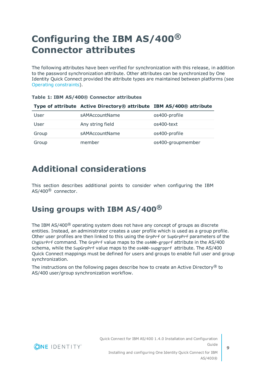## <span id="page-8-0"></span>**Configuring the IBM AS/400® Connector attributes**

The following attributes have been verified for synchronization with this release, in addition to the password synchronization attribute. Other attributes can be synchronized by One Identity Quick Connect provided the attribute types are maintained between platforms (see Operating [constraints\)](#page-4-1).

|       | Type of attribute Active Directory® attribute IBM AS/400® attribute |                   |
|-------|---------------------------------------------------------------------|-------------------|
| User  | sAMAccountName                                                      | os400-profile     |
| User  | Any string field                                                    | os400-text        |
| Group | sAMAccountName                                                      | os400-profile     |
| Group | member                                                              | os400-groupmember |

|  |  |  |  |  | Table 1: IBM AS/400® Connector attributes |  |
|--|--|--|--|--|-------------------------------------------|--|
|--|--|--|--|--|-------------------------------------------|--|

### <span id="page-8-1"></span>**Additional considerations**

This section describes additional points to consider when configuring the IBM AS/400® connector.

### <span id="page-8-2"></span>**Using groups with IBM AS/400®**

The IBM AS/400® operating system does not have any concept of groups as discrete entities. Instead, an administrator creates a user profile which is used as a group profile. Other user profiles are then linked to this using the GrpPrf or SupGrpPrf parameters of the ChgUsrPrf command. The GrpPrf value maps to the os400-grpprf attribute in the AS/400 schema, while the SupGrpPrf value maps to the os400-supgrpprf attribute. The AS/400 Quick Connect mappings must be defined for users and groups to enable full user and group synchronization.

The instructions on the following pages describe how to create an Active Directory<sup>®</sup> to AS/400 user/group synchronization workflow.

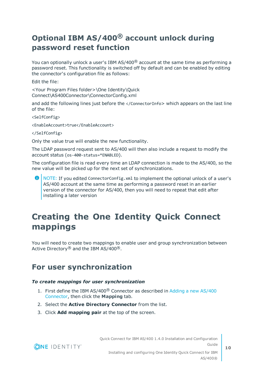### <span id="page-9-0"></span>**Optional IBM AS/400® account unlock during password reset function**

You can optionally unlock a user's IBM  $AS/400^\circ$  account at the same time as performing a password reset. This functionality is switched off by default and can be enabled by editing the connector's configuration file as follows:

Edit the file:

<Your Program Files folder>\One Identity\Quick Connect\AS400Connector\ConnectorConfig.xml

and add the following lines just before the </ConnectorInfo> which appears on the last line of the file:

<SelfConfig>

<EnableAccount>true</EnableAccount>

</SelfConfig>

Only the value true will enable the new functionality.

The LDAP password request sent to AS/400 will then also include a request to modify the account status (os-400-status=\*ENABLED).

The configuration file is read every time an LDAP connection is made to the AS/400, so the new value will be picked up for the next set of synchronizations.

6 NOTE: If you edited ConnectorConfig.xml to implement the optional unlock of a user's AS/400 account at the same time as performing a password reset in an earlier version of the connector for AS/400, then you will need to repeat that edit after installing a later version

## <span id="page-9-1"></span>**Creating the One Identity Quick Connect mappings**

You will need to create two mappings to enable user and group synchronization between Active Directory<sup>®</sup> and the IBM AS/400<sup>®</sup>.

### <span id="page-9-2"></span>**For user synchronization**

#### *To create mappings for user synchronization*

- 1. First define the IBM AS/400® Connector as described in Adding a new AS/400 Connector, then click the **Mapping** tab.
- 2. Select the **Active Directory Connector** from the list.
- 3. Click **Add mapping pair** at the top of the screen.



Quick Connect for IBM AS/400 1.4.0 Installation and Configuration Guide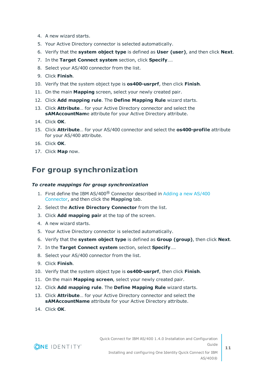- 4. A new wizard starts.
- 5. Your Active Directory connector is selected automatically.
- 6. Verify that the **system object type** is defined as **User (user)**, and then click **Next**.
- 7. In the **Target Connect system** section, click **Specify**….
- 8. Select your AS/400 connector from the list.
- 9. Click **Finish**.
- 10. Verify that the system object type is **os400-usrprf**, then click **Finish**.
- 11. On the main **Mapping** screen, select your newly created pair.
- 12. Click **Add mapping rule**. The **Define Mapping Rule** wizard starts.
- 13. Click **Attribute**… for your Active Directory connector and select the **sAMAccountNam**e attribute for your Active Directory attribute.
- 14. Click **OK**.
- 15. Click **Attribute**… for your AS/400 connector and select the **os400-profile** attribute for your AS/400 attribute.
- 16. Click **OK**.
- <span id="page-10-0"></span>17. Click **Map** now.

### **For group synchronization**

#### *To create mappings for group synchronization*

- 1. First define the IBM AS/400® Connector described in Adding a new AS/400 Connector, and then click the **Mapping** tab.
- 2. Select the **Active Directory Connector** from the list.
- 3. Click **Add mapping pair** at the top of the screen.
- 4. A new wizard starts.
- 5. Your Active Directory connector is selected automatically.
- 6. Verify that the **system object type** is defined as **Group (group)**, then click **Next**.
- 7. In the **Target Connect system** section, select **Specify**….
- 8. Select your AS/400 connector from the list.
- 9. Click **Finish**.
- 10. Verify that the system object type is **os400-usrprf**, then click **Finish**.
- 11. On the main **Mapping screen**, select your newly created pair.
- 12. Click **Add mapping rule**. The **Define Mapping Rule** wizard starts.
- 13. Click **Attribute**… for your Active Directory connector and select the **sAMAccountName** attribute for your Active Directory attribute.
- 14. Click **OK**.

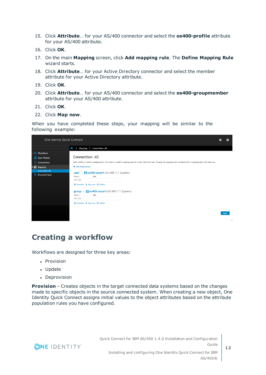- 15. Click **Attribute**… for your AS/400 connector and select the **os400-profile** attribute for your AS/400 attribute.
- 16. Click **OK**.
- 17. On the main **Mapping** screen, click **Add mapping rule**. The **Define Mapping Rule** wizard starts.
- 18. Click **Attribute**… for your Active Directory connector and select the member attribute for your Active Directory attribute.
- 19. Click **OK**.
- 20. Click **Attribute**… for your AS/400 connector and select the **os400-groupmember** attribute for your AS/400 attribute.
- 21. Click **OK**.
- 22. Click **Map now**.

When you have completed these steps, your mapping will be similar to the following example:

| One Identity Quick Connect       |                                                                                                                                                                                        |             |
|----------------------------------|----------------------------------------------------------------------------------------------------------------------------------------------------------------------------------------|-------------|
|                                  | Mapping > Connection: AD<br>m<br>ゝ                                                                                                                                                     |             |
| ▶ <b>♦ Workflows</b>             |                                                                                                                                                                                        |             |
| <b>Sync History</b>              | <b>Connection: AD</b>                                                                                                                                                                  |             |
| $\mathbb{P}$ Connections         | Add, modify, or delete mapping pairs. To create or modify mapping rules for a pair, click that pair. To apply all mapping rules configured for a mapping pair, click Map now.          |             |
| $\overline{\phantom{a}}$ Mapping | + Add mapping pair                                                                                                                                                                     |             |
| <b>Connection: AD</b>            | iii os400-usrprf (AS/400 7.1 System)<br>user<br>$\sim$                                                                                                                                 |             |
| <b>P&amp;</b> Password Sync      | Idle<br>Status:<br>Last run:<br>Schedule ▶ Map now X Delete<br>group - $\blacksquare$ os 400-usrprf (AS/400 7.1 System)<br>Idle<br>Status:<br>Last run:<br>Schedule ▶ Map now X Delete |             |
|                                  |                                                                                                                                                                                        | <b>Back</b> |
|                                  |                                                                                                                                                                                        | i           |

### <span id="page-11-0"></span>**Creating a workflow**

Workflows are designed for three key areas:

- Provision
- Update
- Deprovision

**Provision** – Creates objects in the target connected data systems based on the changes made to specific objects in the source connected system. When creating a new object, One Identity Quick Connect assigns initial values to the object attributes based on the attribute population rules you have configured.

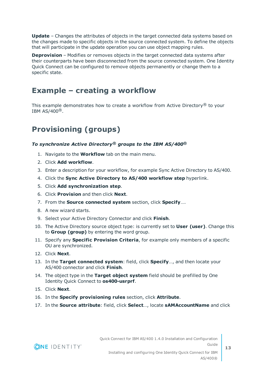**Update** – Changes the attributes of objects in the target connected data systems based on the changes made to specific objects in the source connected system. To define the objects that will participate in the update operation you can use object mapping rules.

**Deprovision** – Modifies or removes objects in the target connected data systems after their counterparts have been disconnected from the source connected system. One Identity Quick Connect can be configured to remove objects permanently or change them to a specific state.

### <span id="page-12-0"></span>**Example – creating a workflow**

This example demonstrates how to create a workflow from Active Directory® to your IBM  $AS/400^{\circledR}$ .

### <span id="page-12-1"></span>**Provisioning (groups)**

### *To synchronize Active Directory® groups to the IBM AS/400®*

- 1. Navigate to the **Workflow** tab on the main menu.
- 2. Click **Add workflow**.
- 3. Enter a description for your workflow, for example Sync Active Directory to AS/400.
- 4. Click the **Sync Active Directory to AS/400 workflow step** hyperlink.
- 5. Click **Add synchronization step**.
- 6. Click **Provision** and then click **Next**.
- 7. From the **Source connected system** section, click **Specify**….
- 8. A new wizard starts.
- 9. Select your Active Directory Connector and click **Finish**.
- 10. The Active Directory source object type: is currently set to **User (user)**. Change this to **Group (group)** by entering the word group.
- 11. Specify any **Specific Provision Criteria**, for example only members of a specific OU are synchronized.
- 12. Click **Next**.
- 13. In the **Target connected system**: field, click **Specify**…, and then locate your AS/400 connector and click **Finish**.
- 14. The object type in the **Target object system** field should be prefilled by One Identity Quick Connect to **os400-usrprf**.
- 15. Click **Next**.
- 16. In the **Specify provisioning rules** section, click **Attribute**.
- 17. In the **Source attribute**: field, click **Select**…, locate **sAMAccountName** and click

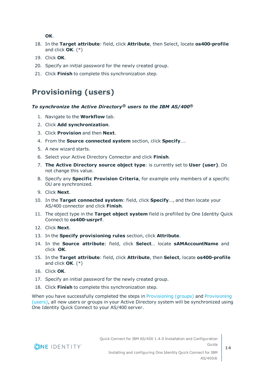**OK**.

- 18. In the **Target attribute**: field, click **Attribute**, then Select, locate **os400-profile** and click **OK**. (\*)
- 19. Click **OK**.
- 20. Specify an initial password for the newly created group.
- <span id="page-13-0"></span>21. Click **Finish** to complete this synchronization step.

### **Provisioning (users)**

### *To synchronize the Active Directory® users to the IBM AS/400®*

- 1. Navigate to the **Workflow** tab.
- 2. Click **Add synchronization**.
- 3. Click **Provision** and then **Next**.
- 4. From the **Source connected system** section, click **Specify**….
- 5. A new wizard starts.
- 6. Select your Active Directory Connector and click **Finish**.
- 7. **The Active Directory source object type**: is currently set to **User (user)**. Do not change this value.
- 8. Specify any **Specific Provision Criteria**, for example only members of a specific OU are synchronized.
- 9. Click **Next**.
- 10. In the **Target connected system**: field, click **Specify**…, and then locate your AS/400 connector and click **Finish**.
- 11. The object type in the **Target object system** field is prefilled by One Identity Quick Connect to **os400-usrprf**.
- 12. Click **Next**.
- 13. In the **Specify provisioning rules** section, click **Attribute**.
- 14. In the **Source attribute**: field, click **Select**… locate **sAMAccountName** and click **OK**.
- 15. In the **Target attribute**: field, click **Attribute**, then **Select**, locate **os400-profile** and click **OK**. (\*)
- 16. Click **OK**.
- 17. Specify an initial password for the newly created group.
- 18. Click **Finish** to complete this synchronization step.

When you have successfully completed the steps in [Provisioning](#page-12-1) (groups) and [Provisioning](#page-13-0) [\(users\)](#page-13-0), all new users or groups in your Active Directory system will be synchronized using One Identity Quick Connect to your AS/400 server.

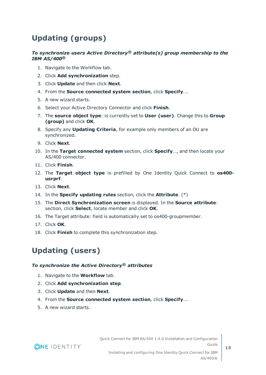### <span id="page-14-0"></span>**Updating (groups)**

### *To synchronize users Active Directory® attribute(s) group membership to the IBM AS/400®*

- 1. Navigate to the Workflow tab.
- 2. Click **Add synchronization** step.
- 3. Click **Update** and then click **Next**.
- 4. From the **Source connected system section**, click **Specify**….
- 5. A new wizard starts.
- 6. Select your Active Directory Connector and click **Finish**.
- 7. The **source object type**: is currently set to **User (user)**. Change this to **Group (group)** and click **OK**.
- 8. Specify any **Updating Criteria**, for example only members of an OU are synchronized.
- 9. Click **Next**.
- 10. In the **Target connected system** section, click **Specify**…, and then locate your AS/400 connector.
- 11. Click **Finish**.
- 12. The **Target object type** is prefilled by One Identity Quick Connect to **os400 usrprf**.
- 13. Click **Next**.
- 14. In the **Specify updating rules** section, click the **Attribute**. (\*)
- 15. The **Direct Synchronization screen** is displayed. In the **Source attribute**: section, click **Select**, locate member and click **OK**.
- 16. The Target attribute: field is automatically set to os400-groupmember.
- 17. Click **OK**.
- <span id="page-14-1"></span>18. Click **Finish** to complete this synchronization step.

### **Updating (users)**

#### *To synchronize the Active Directory® attributes*

- 1. Navigate to the **Workflow** tab.
- 2. Click **Add synchronization step**.
- 3. Click **Update** and then **Next**.
- 4. From the **Source connected system section**, click **Specify**….
- 5. A new wizard starts.

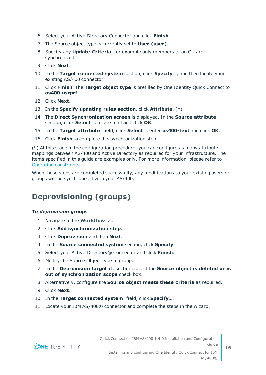- 6. Select your Active Directory Connector and click **Finish**.
- 7. The Source object type is currently set to **User (user)**.
- 8. Specify any **Update Criteria**, for example only members of an OU are synchronized.
- 9. Click **Next**.
- 10. In the **Target connected system** section, click **Specify**…, and then locate your existing AS/400 connector.
- 11. Click **Finish**. The **Target object type** is prefilled by One Identity Quick Connect to **os400-usrprf**.
- 12. Click **Next**.
- 13. In the **Specify updating rules section**, click **Attribute**. (\*)
- 14. The **Direct Synchronization screen** is displayed. In the **Source attribute**: section, click **Select**…, locate mail and click **OK**.
- 15. In the **Target attribute**: field, click **Select**…, enter **os400-text** and click **OK**.
- 16. Click **Finish** to complete this synchronization step.

(\*) At this stage in the configuration procedure, you can configure as many attribute mappings between AS/400 and Active Directory as required for your infrastructure. The items specified in this guide are examples only. For more information, please refer to Operating [constraints.](#page-4-1)

When these steps are completed successfully, any modifications to your existing users or groups will be synchronized with your AS/400.

### <span id="page-15-0"></span>**Deprovisioning (groups)**

### *To deprovision groups*

- 1. Navigate to the **Workflow** tab.
- 2. Click **Add synchronization step**.
- 3. Click **Deprovision** and then **Next**.
- 4. In the **Source connected system** section, click **Specify**….
- 5. Select your Active Directory® Connector and click **Finish**.
- 6. Modify the Source Object type to group.
- 7. In the **Deprovision target if**: section, select the **Source object is deleted or is out of synchronization scope** check box.
- 8. Alternatively, configure the **Source object meets these criteria** as required.
- 9. Click **Next**.
- 10. In the **Target connected system**: field, click **Specify**….
- 11. Locate your IBM AS/400® connector and complete the steps in the wizard.

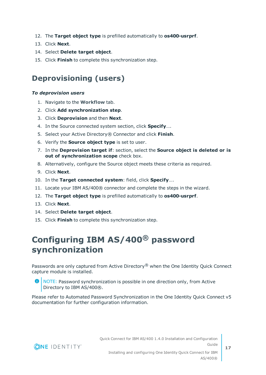- 12. The **Target object type** is prefilled automatically to **os400-usrprf**.
- 13. Click **Next**.
- 14. Select **Delete target object**.
- <span id="page-16-0"></span>15. Click **Finish** to complete this synchronization step.

### **Deprovisioning (users)**

### *To deprovision users*

- 1. Navigate to the **Workflow** tab.
- 2. Click **Add synchronization step**.
- 3. Click **Deprovision** and then **Next**.
- 4. In the Source connected system section, click **Specify**….
- 5. Select your Active Directory® Connector and click **Finish**.
- 6. Verify the **Source object type** is set to user.
- 7. In the **Deprovision target if**: section, select the **Source object is deleted or is out of synchronization scope** check box.
- 8. Alternatively, configure the Source object meets these criteria as required.
- 9. Click **Next**.
- 10. In the **Target connected system**: field, click **Specify**….
- 11. Locate your IBM AS/400® connector and complete the steps in the wizard.
- 12. The **Target object type** is prefilled automatically to **os400-usrprf**.
- 13. Click **Next**.
- 14. Select **Delete target object**.
- <span id="page-16-1"></span>15. Click **Finish** to complete this synchronization step.

## **Configuring IBM AS/400® password synchronization**

Passwords are only captured from Active Directory<sup>®</sup> when the One Identity Quick Connect capture module is installed.

**O** NOTE: Password synchronization is possible in one direction only, from Active Directory to IBM AS/400®.

Please refer to Automated Password Synchronization in the One Identity Quick Connect v5 documentation for further configuration information.

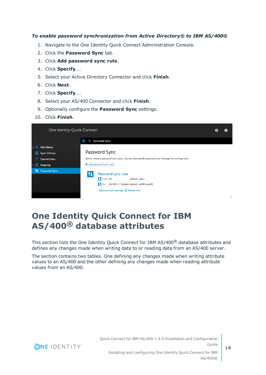### *To enable password synchronization from Active Directory® to IBM AS/400®*

- 1. Navigate to the One Identity Quick Connect Administration Console.
- 2. Click the **Password Sync** tab.
- 3. Click **Add password sync rule**.
- 4. Click **Specify**….
- 5. Select your Active Directory Connector and click **Finish**.
- 6. Click **Next**.
- 7. Click **Specify**….
- 8. Select your AS/400 Connector and click **Finish**.
- 9. Optionally configure the **Password Sync** settings.
- 10. Click **Finish**.

|         | One Identity Quick Connect |            |                                                                                                                                                                   |  |   |
|---------|----------------------------|------------|-------------------------------------------------------------------------------------------------------------------------------------------------------------------|--|---|
|         |                            | m          | <b>Password Sync</b>                                                                                                                                              |  |   |
|         | <b>Workflows</b>           |            |                                                                                                                                                                   |  |   |
| $\circ$ | <b>Sync History</b>        |            | Password Sync                                                                                                                                                     |  |   |
| ₽       | <b>Connections</b>         |            | Add or remove password sync rules. You can also modify password sync settings for existing rules.                                                                 |  |   |
| Е       | <b>Mapping</b>             |            | Add password sync rule:                                                                                                                                           |  |   |
|         | <b>All</b> Password Sync   | $\sqrt{3}$ | Password sync rule<br>From: AD<br>(object: user)<br>$\blacksquare$ To:<br>AS/400 7.1 System (object: os400-usrprf)<br>Password sync settings $\times$ Delete rule |  |   |
|         |                            |            |                                                                                                                                                                   |  | : |

### <span id="page-17-0"></span>**One Identity Quick Connect for IBM AS/400® database attributes**

This section lists the One Identity Quick Connect for IBM AS/400® database attributes and defines any changes made when writing data to or reading data from an AS/400 server.

The section contains two tables. One defining any changes made when writing attribute values to an AS/400 and the other defining any changes made when reading attribute values from an AS/400.

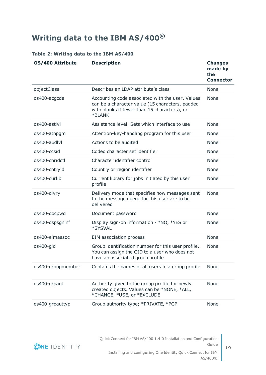## <span id="page-18-0"></span>**Writing data to the IBM AS/400®**

#### **Table 2: Writing data to the IBM AS/400**

| OS/400 Attribute  | <b>Description</b>                                                                                                                                            | <b>Changes</b><br>made by<br>the<br><b>Connector</b> |
|-------------------|---------------------------------------------------------------------------------------------------------------------------------------------------------------|------------------------------------------------------|
| objectClass       | Describes an LDAP attribute's class                                                                                                                           | None                                                 |
| os400-acgcde      | Accounting code associated with the user. Values<br>can be a character value (15 characters, padded<br>with blanks if fewer than 15 characters), or<br>*BLANK | <b>None</b>                                          |
| os400-astlyl      | Assistance level. Sets which interface to use                                                                                                                 | <b>None</b>                                          |
| os400-atnpgm      | Attention-key-handling program for this user                                                                                                                  | None                                                 |
| os400-audlyl      | Actions to be audited                                                                                                                                         | <b>None</b>                                          |
| os400-ccsid       | Coded character set identifier                                                                                                                                | None                                                 |
| os400-chridctl    | Character identifier control                                                                                                                                  | <b>None</b>                                          |
| os400-cntryid     | Country or region identifier                                                                                                                                  | None                                                 |
| os400-curlib      | Current library for jobs initiated by this user<br>profile                                                                                                    | <b>None</b>                                          |
| os400-dlvry       | Delivery mode that specifies how messages sent<br>to the message queue for this user are to be<br>delivered                                                   | None                                                 |
| os400-docpwd      | Document password                                                                                                                                             | <b>None</b>                                          |
| os400-dspsgninf   | Display sign-on information - *NO, *YES or<br>*SYSVAL                                                                                                         | None                                                 |
| os400-eimassoc    | EIM association process                                                                                                                                       | None                                                 |
| os400-gid         | Group identification number for this user profile.<br>You can assign the GID to a user who does not<br>have an associated group profile                       | None                                                 |
| os400-groupmember | Contains the names of all users in a group profile                                                                                                            | None                                                 |
| os400-grpaut      | Authority given to the group profile for newly<br>created objects. Values can be *NONE, *ALL,<br>*CHANGE, *USE, or *EXCLUDE                                   | <b>None</b>                                          |
| os400-grpauttyp   | Group authority type; *PRIVATE, *PGP                                                                                                                          | None                                                 |



**19**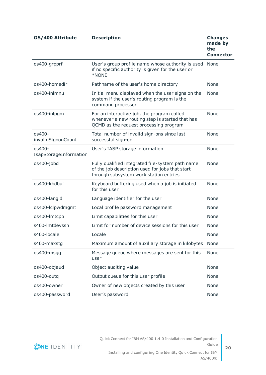| OS/400 Attribute                 | <b>Description</b>                                                                                                                            | <b>Changes</b><br>made by<br>the<br><b>Connector</b> |
|----------------------------------|-----------------------------------------------------------------------------------------------------------------------------------------------|------------------------------------------------------|
| os400-grpprf                     | User's group profile name whose authority is used<br>if no specific authority is given for the user or<br>*NONE                               | None                                                 |
| os400-homedir                    | Pathname of the user's home directory                                                                                                         | None                                                 |
| os400-inlmnu                     | Initial menu displayed when the user signs on the<br>system if the user's routing program is the<br>command processor                         | None                                                 |
| os400-inlpgm                     | For an interactive job, the program called<br>whenever a new routing step is started that has<br>QCMD as the request processing program       | None                                                 |
| os400-<br>invalidSignonCount     | Total number of invalid sign-ons since last<br>successful sign-on                                                                             | None                                                 |
| os400-<br>IsapStorageInformation | User's IASP storage information                                                                                                               | None                                                 |
| os400-jobd                       | Fully qualified integrated file-system path name<br>of the job description used for jobs that start<br>through subsystem work station entries | <b>None</b>                                          |
| os400-kbdbuf                     | Keyboard buffering used when a job is initiated<br>for this user                                                                              | None                                                 |
| os400-langid                     | Language identifier for the user                                                                                                              | None                                                 |
| os400-lclpwdmgmt                 | Local profile password management                                                                                                             | None                                                 |
| os400-lmtcpb                     | Limit capabilities for this user                                                                                                              | None                                                 |
| s400-lmtdevssn                   | Limit for number of device sessions for this user                                                                                             | None                                                 |
| s400-locale                      | Locale                                                                                                                                        | None                                                 |
| s400-maxstg                      | Maximum amount of auxiliary storage in kilobytes                                                                                              | None                                                 |
| os400-msgq                       | Message queue where messages are sent for this<br>user                                                                                        | None                                                 |
| os400-objaud                     | Object auditing value                                                                                                                         | None                                                 |
| os400-outq                       | Output queue for this user profile                                                                                                            | None                                                 |
| os400-owner                      | Owner of new objects created by this user                                                                                                     | None                                                 |
| os400-password                   | User's password                                                                                                                               | None                                                 |



**20**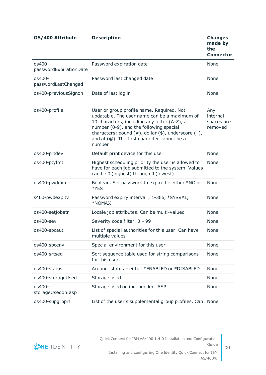**OS/400 Attribute Description Changes made by the Connector** os400 passwordExpirationDate Password expiration date None os400 passwordLastChanged Password last changed date None os400-previousSignon Date of last log in None os400-profile User or group profile name. Required. Not updatable. The user name can be a maximum of 10 characters, including any letter (A-Z), a number (0-9), and the following special characters: pound  $(#)$ , dollar  $($)$ , underscore  $( )$ , and at (@). The first character cannot be a number Any internal spaces are removed os400-prtdev Default print device for this user None os400-ptylmt Highest scheduling priority the user is allowed to have for each job submitted to the system. Values can be 0 (highest) through 9 (lowest) None os400-pwdexp Boolean. Set password to expired – either \*NO or \*YES None s400-pwdexpity Password expiry interval ; 1-366, \*SYSVAL, \*NOMAX None os400-setjobatr Locale job attributes. Can be multi-valued None os400-sev Severity code filter. 0 – 99 None os400-spcaut List of special authorities for this user. Can have multiple values None os400-spcenv Special environment for this user None os400-srtseq Sort sequence table used for string comparisons for this user None os400-status Account status – either \*ENABLED or \*DISABLED None os400-storageUsed Storage used Storage used None os400 storageUsedonIasp Storage used on independent ASP None os400-supgrpprf List of the user's supplemental group profiles. Can None

**ONE IDENTITY**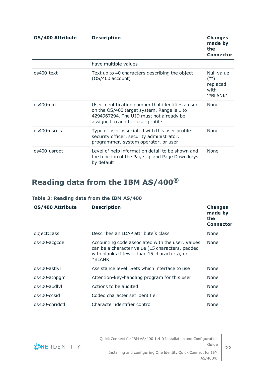| <b>OS/400 Attribute</b> | <b>Description</b>                                                                                                                                                             | <b>Changes</b><br>made by<br>the<br><b>Connector</b> |
|-------------------------|--------------------------------------------------------------------------------------------------------------------------------------------------------------------------------|------------------------------------------------------|
|                         | have multiple values                                                                                                                                                           |                                                      |
| os400-text              | Text up to 40 characters describing the object<br>$(OS/400$ account)                                                                                                           | Null value<br>replaced<br>with<br>'*BLANK'           |
| $0s400$ -uid            | User identification number that identifies a user<br>on the OS/400 target system. Range is 1 to<br>4294967294. The UID must not already be<br>assigned to another user profile | <b>None</b>                                          |
| os400-usrcls            | Type of user associated with this user profile:<br>security officer, security administrator,<br>programmer, system operator, or user                                           | <b>None</b>                                          |
| os400-usropt            | Level of help information detail to be shown and<br>the function of the Page Up and Page Down keys<br>by default                                                               | None                                                 |

## <span id="page-21-0"></span>**Reading data from the IBM AS/400®**

### **Table 3: Reading data from the IBM AS/400**

| <b>OS/400 Attribute</b> | <b>Description</b>                                                                                                                                            | <b>Changes</b><br>made by<br>the<br><b>Connector</b> |
|-------------------------|---------------------------------------------------------------------------------------------------------------------------------------------------------------|------------------------------------------------------|
| objectClass             | Describes an LDAP attribute's class                                                                                                                           | None                                                 |
| os400-acgcde            | Accounting code associated with the user. Values<br>can be a character value (15 characters, padded<br>with blanks if fewer than 15 characters), or<br>*BLANK | <b>None</b>                                          |
| os400-astlyl            | Assistance level. Sets which interface to use                                                                                                                 | <b>None</b>                                          |
| os400-atnpgm            | Attention-key-handling program for this user                                                                                                                  | <b>None</b>                                          |
| $os400$ -audlyl         | Actions to be audited                                                                                                                                         | <b>None</b>                                          |
| os400-ccsid             | Coded character set identifier                                                                                                                                | <b>None</b>                                          |
| os400-chridctl          | Character identifier control                                                                                                                                  | <b>None</b>                                          |

Quick Connect for IBM AS/400 1.4.0 Installation and Configuration Guide Installing and configuring One Identity Quick Connect for IBM

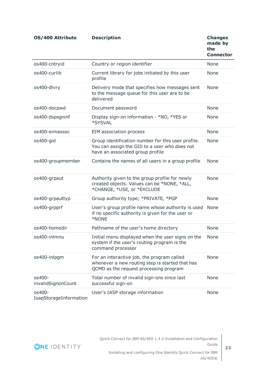| OS/400 Attribute                 | <b>Description</b>                                                                                                                      | <b>Changes</b><br>made by<br>the<br><b>Connector</b> |
|----------------------------------|-----------------------------------------------------------------------------------------------------------------------------------------|------------------------------------------------------|
| os400-cntryid                    | Country or region identifier                                                                                                            | <b>None</b>                                          |
| os400-curlib                     | Current library for jobs initiated by this user<br>profile                                                                              | <b>None</b>                                          |
| os400-dlvry                      | Delivery mode that specifies how messages sent<br>to the message queue for this user are to be<br>delivered                             | <b>None</b>                                          |
| os400-docpwd                     | Document password                                                                                                                       | <b>None</b>                                          |
| os400-dspsgninf                  | Display sign-on information - *NO, *YES or<br>*SYSVAL                                                                                   | None                                                 |
| os400-eimassoc                   | <b>EIM association process</b>                                                                                                          | <b>None</b>                                          |
| os400-gid                        | Group identification number for this user profile.<br>You can assign the GID to a user who does not<br>have an associated group profile | <b>None</b>                                          |
| os400-groupmember                | Contains the names of all users in a group profile                                                                                      | <b>None</b>                                          |
| os400-grpaut                     | Authority given to the group profile for newly<br>created objects. Values can be *NONE, *ALL,<br>*CHANGE, *USE, or *EXCLUDE             | <b>None</b>                                          |
| os400-grpauttyp                  | Group authority type; *PRIVATE, *PGP                                                                                                    | <b>None</b>                                          |
| os400-grpprf                     | User's group profile name whose authority is used<br>if no specific authority is given for the user or<br>*NONE                         | <b>None</b>                                          |
| os400-homedir                    | Pathname of the user's home directory                                                                                                   | None                                                 |
| os400-inlmnu                     | Initial menu displayed when the user signs on the<br>system if the user's routing program is the<br>command processor                   | None                                                 |
| os400-inlpgm                     | For an interactive job, the program called<br>whenever a new routing step is started that has<br>QCMD as the request processing program | None                                                 |
| os400-<br>invalidSignonCount     | Total number of invalid sign-ons since last<br>successful sign-on                                                                       | None                                                 |
| os400-<br>IsapStorageInformation | User's IASP storage information                                                                                                         | None                                                 |

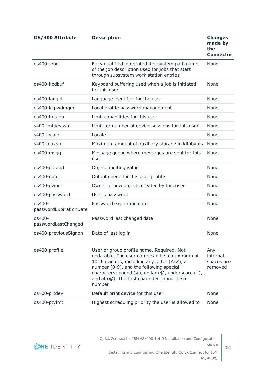| OS/400 Attribute                 | <b>Description</b>                                                                                                                                                                                                                                                                                              | <b>Changes</b><br>made by<br>the<br><b>Connector</b> |
|----------------------------------|-----------------------------------------------------------------------------------------------------------------------------------------------------------------------------------------------------------------------------------------------------------------------------------------------------------------|------------------------------------------------------|
| os400-jobd                       | Fully qualified integrated file-system path name<br>of the job description used for jobs that start<br>through subsystem work station entries                                                                                                                                                                   | None                                                 |
| os400-kbdbuf                     | Keyboard buffering used when a job is initiated<br>for this user                                                                                                                                                                                                                                                | <b>None</b>                                          |
| os400-langid                     | Language identifier for the user                                                                                                                                                                                                                                                                                | <b>None</b>                                          |
| os400-lclpwdmgmt                 | Local profile password management                                                                                                                                                                                                                                                                               | None                                                 |
| os400-lmtcpb                     | Limit capabilities for this user                                                                                                                                                                                                                                                                                | None                                                 |
| s400-lmtdevssn                   | Limit for number of device sessions for this user                                                                                                                                                                                                                                                               | <b>None</b>                                          |
| s400-locale                      | Locale                                                                                                                                                                                                                                                                                                          | None                                                 |
| s400-maxstg                      | Maximum amount of auxiliary storage in kilobytes                                                                                                                                                                                                                                                                | None                                                 |
| os400-msgq                       | Message queue where messages are sent for this<br>user                                                                                                                                                                                                                                                          | None                                                 |
| os400-objaud                     | Object auditing value                                                                                                                                                                                                                                                                                           | <b>None</b>                                          |
| os400-outq                       | Output queue for this user profile                                                                                                                                                                                                                                                                              | <b>None</b>                                          |
| os400-owner                      | Owner of new objects created by this user                                                                                                                                                                                                                                                                       | None                                                 |
| os400-password                   | User's password                                                                                                                                                                                                                                                                                                 | None                                                 |
| os400-<br>passwordExpirationDate | Password expiration date                                                                                                                                                                                                                                                                                        | None                                                 |
| os400-<br>passwordLastChanged    | Password last changed date                                                                                                                                                                                                                                                                                      | None                                                 |
| os400-previousSignon             | Date of last log in                                                                                                                                                                                                                                                                                             | None                                                 |
| os400-profile                    | User or group profile name. Required. Not<br>updatable. The user name can be a maximum of<br>10 characters, including any letter (A-Z), a<br>number (0-9), and the following special<br>characters: pound $(\#)$ , dollar $(\$)$ , underscore $(\_)$ ,<br>and at (@). The first character cannot be a<br>number | Any<br>internal<br>spaces are<br>removed             |
| os400-prtdev                     | Default print device for this user                                                                                                                                                                                                                                                                              | None                                                 |
| os400-ptylmt                     | Highest scheduling priority the user is allowed to                                                                                                                                                                                                                                                              | None                                                 |

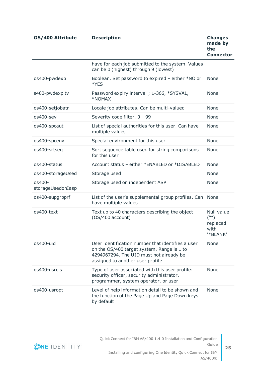| OS/400 Attribute            | <b>Description</b>                                                                                                                                                             | <b>Changes</b><br>made by<br>the<br><b>Connector</b>          |
|-----------------------------|--------------------------------------------------------------------------------------------------------------------------------------------------------------------------------|---------------------------------------------------------------|
|                             | have for each job submitted to the system. Values<br>can be 0 (highest) through 9 (lowest)                                                                                     |                                                               |
| os400-pwdexp                | Boolean. Set password to expired - either *NO or<br>*YES                                                                                                                       | <b>None</b>                                                   |
| s400-pwdexpitv              | Password expiry interval; 1-366, *SYSVAL,<br>*NOMAX                                                                                                                            | None                                                          |
| os400-setjobatr             | Locale job attributes. Can be multi-valued                                                                                                                                     | None                                                          |
| os400-sev                   | Severity code filter. 0 - 99                                                                                                                                                   | None                                                          |
| os400-spcaut                | List of special authorities for this user. Can have<br>multiple values                                                                                                         | None                                                          |
| os400-spcenv                | Special environment for this user                                                                                                                                              | None                                                          |
| os400-srtseq                | Sort sequence table used for string comparisons<br>for this user                                                                                                               | None                                                          |
| os400-status                | Account status - either *ENABLED or *DISABLED                                                                                                                                  | <b>None</b>                                                   |
| os400-storageUsed           | Storage used                                                                                                                                                                   | None                                                          |
| os400-<br>storageUsedonIasp | Storage used on independent ASP                                                                                                                                                | None                                                          |
| os400-supgrpprf             | List of the user's supplemental group profiles. Can<br>have multiple values                                                                                                    | None                                                          |
| os400-text                  | Text up to 40 characters describing the object<br>(OS/400 account)                                                                                                             | Null value<br>$(\mathbf{W}')$<br>replaced<br>with<br>'*BLANK' |
| os400-uid                   | User identification number that identifies a user<br>on the OS/400 target system. Range is 1 to<br>4294967294. The UID must not already be<br>assigned to another user profile | None                                                          |
| os400-usrcls                | Type of user associated with this user profile:<br>security officer, security administrator,<br>programmer, system operator, or user                                           | None                                                          |
| os400-usropt                | Level of help information detail to be shown and                                                                                                                               | <b>None</b>                                                   |